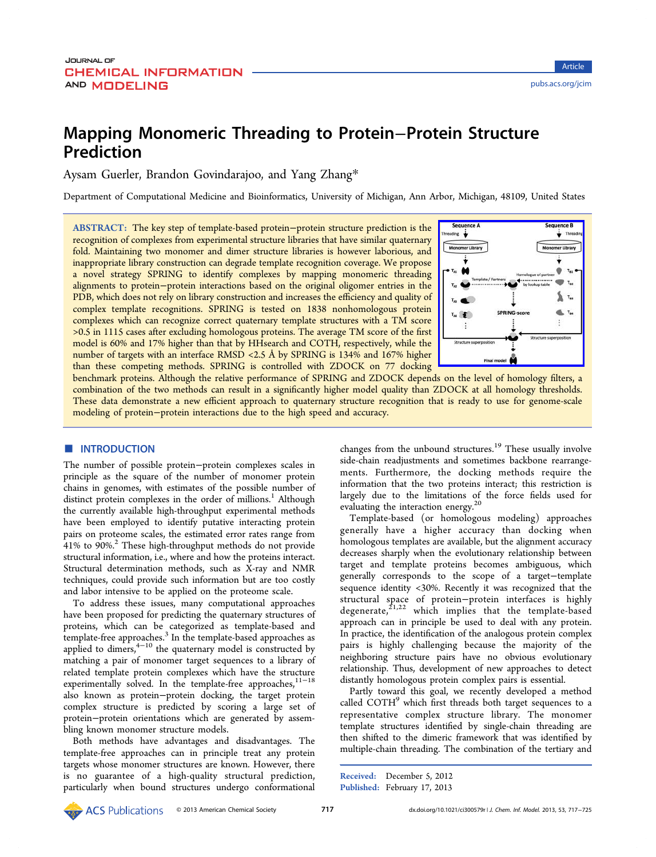# Mapping Monomeric Threading to Protein−Protein Structure Prediction

Aysam Guerler, Brandon Govindarajoo, and Yang Zhang\*

Department of Computational Medicine and Bioinformatics, University [o](#page-7-0)f Michigan, Ann Arbor, Michigan, 48109, United States

ABSTRACT: The key step of template-based protein−protein structure prediction is the recognition of complexes from experimental structure libraries that have similar quaternary fold. Maintaining two monomer and dimer structure libraries is however laborious, and inappropriate library construction can degrade template recognition coverage. We propose a novel strategy SPRING to identify complexes by mapping monomeric threading alignments to protein−protein interactions based on the original oligomer entries in the PDB, which does not rely on library construction and increases the efficiency and quality of complex template recognitions. SPRING is tested on 1838 nonhomologous protein complexes which can recognize correct quaternary template structures with a TM score >0.5 in 1115 cases after excluding homologous proteins. The average TM score of the first model is 60% and 17% higher than that by HHsearch and COTH, respectively, while the number of targets with an interface RMSD <2.5 Å by SPRING is 134% and 167% higher than these competing methods. SPRING is controlled with ZDOCK on 77 docking



benchmark proteins. Although the relative performance of SPRING and ZDOCK depend[s on the level of homology](http://pubs.acs.org/action/showImage?doi=10.1021/ci300579r&iName=master.img-000.jpg&w=134&h=134) filters, a combination of the two methods can result in a significantly higher model quality than ZDOCK at all homology thresholds. These data demonstrate a new efficient approach to quaternary structure recognition that is ready to use for genome-scale modeling of protein−protein interactions due to the high speed and accuracy.

# **■ INTRODUCTION**

The number of possible protein−protein complexes scales in principle as the square of the number of monomer protein chains in genomes, with estimates of the possible number of distinct protein complexes in the order of millions.<sup>1</sup> Although the currently available high-throughput experimental methods have been employed to identify putative interact[in](#page-7-0)g protein pairs on proteome scales, the estimated error rates range from 41% to 90%.<sup>2</sup> These high-throughput methods do not provide structural information, i.e., where and how the proteins interact. Structural d[et](#page-8-0)ermination methods, such as X-ray and NMR techniques, could provide such information but are too costly and labor intensive to be applied on the proteome scale.

To address these issues, many computational approaches have been proposed for predicting the quaternary structures of proteins, which can be categorized as template-based and template-free approaches.<sup>3</sup> In the template-based approaches as applied to dimers,<sup>4-10</sup> the quaternary model is constructed by matching a pair of mon[om](#page-8-0)er target sequences to a library of related template [prote](#page-8-0)in complexes which have the structure experimentally solved. In the template-free approaches,<sup>11-18</sup> also known as protein−protein docking, the target protein complex structure is predicted by scoring a large s[et of](#page-8-0) protein−protein orientations which are generated by assembling known monomer structure models.

Both methods have advantages and disadvantages. The template-free approaches can in principle treat any protein targets whose monomer structures are known. However, there is no guarantee of a high-quality structural prediction, particularly when bound structures undergo conformational changes from the unbound structures.<sup>19</sup> These usually involve side-chain readjustments and sometimes backbone rearrangements. Furthermore, the docking [m](#page-8-0)ethods require the information that the two proteins interact; this restriction is largely due to the limitations of the force fields used for evaluating the interaction energy.<sup>20</sup>

Template-based (or homologous modeling) approaches generally have a higher acc[ura](#page-8-0)cy than docking when homologous templates are available, but the alignment accuracy decreases sharply when the evolutionary relationship between target and template proteins becomes ambiguous, which generally corresponds to the scope of a target−template sequence identity <30%. Recently it was recognized that the structural space of protein−protein interfaces is highly degenerate, ${}^{21,22}$  which implies that the template-based approach can in principle be used to deal with any protein. In practice, [the id](#page-8-0)entification of the analogous protein complex pairs is highly challenging because the majority of the neighboring structure pairs have no obvious evolutionary relationship. Thus, development of new approaches to detect distantly homologous protein complex pairs is essential.

Partly toward this goal, we recently developed a method called COTH<sup>9</sup> which first threads both target sequences to a representative complex structure library. The monomer template stru[c](#page-8-0)tures identified by single-chain threading are then shifted to the dimeric framework that was identified by multiple-chain threading. The combination of the tertiary and

Received: December 5, 2012 Published: February 17, 2013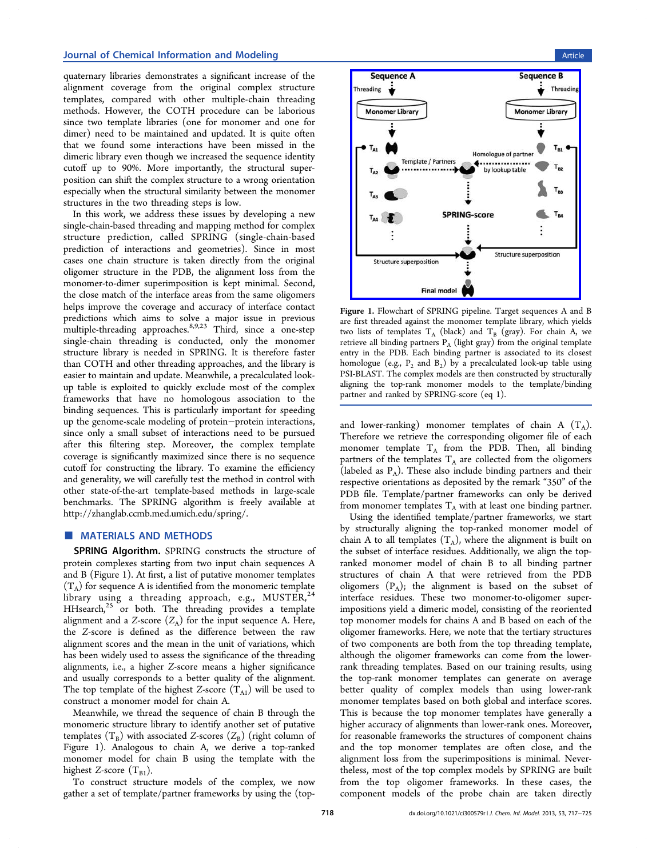<span id="page-1-0"></span>quaternary libraries demonstrates a significant increase of the alignment coverage from the original complex structure templates, compared with other multiple-chain threading methods. However, the COTH procedure can be laborious since two template libraries (one for monomer and one for dimer) need to be maintained and updated. It is quite often that we found some interactions have been missed in the dimeric library even though we increased the sequence identity cutoff up to 90%. More importantly, the structural superposition can shift the complex structure to a wrong orientation especially when the structural similarity between the monomer structures in the two threading steps is low.

In this work, we address these issues by developing a new single-chain-based threading and mapping method for complex structure prediction, called SPRING (single-chain-based prediction of interactions and geometries). Since in most cases one chain structure is taken directly from the original oligomer structure in the PDB, the alignment loss from the monomer-to-dimer superimposition is kept minimal. Second, the close match of the interface areas from the same oligomers helps improve the coverage and accuracy of interface contact predictions which aims to solve a major issue in previous multiple-threading approaches.<sup>8,9,23</sup> Third, since a one-step single-chain threading is conducted, only the monomer structure library is needed in [SPRI](#page-8-0)NG. It is therefore faster than COTH and other threading approaches, and the library is easier to maintain and update. Meanwhile, a precalculated lookup table is exploited to quickly exclude most of the complex frameworks that have no homologous association to the binding sequences. This is particularly important for speeding up the genome-scale modeling of protein−protein interactions, since only a small subset of interactions need to be pursued after this filtering step. Moreover, the complex template coverage is significantly maximized since there is no sequence cutoff for constructing the library. To examine the efficiency and generality, we will carefully test the method in control with other state-of-the-art template-based methods in large-scale benchmarks. The SPRING algorithm is freely available at http://zhanglab.ccmb.med.umich.edu/spring/.

# **[MATERIALS AND METHODS](http://zhanglab.ccmb.med.umich.edu/spring/)**

SPRING Algorithm. SPRING constructs the structure of protein complexes starting from two input chain sequences A and B (Figure 1). At first, a list of putative monomer templates  $(T_A)$  for sequence A is identified from the monomeric template library using a threading approach, e.g.,  $MUSTER, <sup>24</sup>$  $HHsearch<sub>1</sub><sup>25</sup>$  or both. The threading provides a template alignment and a Z-score  $(Z_A)$  for the input sequence A. He[re,](#page-8-0) the Z-sco[re](#page-8-0) is defined as the difference between the raw alignment scores and the mean in the unit of variations, which has been widely used to assess the significance of the threading alignments, i.e., a higher Z-score means a higher significance and usually corresponds to a better quality of the alignment. The top template of the highest Z-score  $(T_{A1})$  will be used to construct a monomer model for chain A.

Meanwhile, we thread the sequence of chain B through the monomeric structure library to identify another set of putative templates  $(T_B)$  with associated Z-scores  $(Z_B)$  (right column of Figure 1). Analogous to chain A, we derive a top-ranked monomer model for chain B using the template with the highest Z-score  $(T_{B1})$ .

To construct structure models of the complex, we now gather a set of template/partner frameworks by using the (top-



Figure 1. [Flowchart of SPRING pipeline. Target sequences A an](http://pubs.acs.org/action/showImage?doi=10.1021/ci300579r&iName=master.img-001.jpg&w=214&h=214)d B are first threaded against the monomer template library, which yields two lists of templates  $T_A$  (black) and  $T_B$  (gray). For chain A, we retrieve all binding partners  $P_A$  (light gray) from the original template entry in the PDB. Each binding partner is associated to its closest homologue (e.g.,  $P_2$  and  $B_2$ ) by a precalculated look-up table using PSI-BLAST. The complex models are then constructed by structurally aligning the top-rank monomer models to the template/binding partner and ranked by SPRING-score (eq 1).

and lower-ranking) monomer templ[at](#page-2-0)es of chain A  $(T_A)$ . Therefore we retrieve the corresponding oligomer file of each monomer template  $T_A$  from the PDB. Then, all binding partners of the templates  $T_A$  are collected from the oligomers (labeled as  $P_A$ ). These also include binding partners and their respective orientations as deposited by the remark "350" of the PDB file. Template/partner frameworks can only be derived from monomer templates  $T_A$  with at least one binding partner.

Using the identified template/partner frameworks, we start by structurally aligning the top-ranked monomer model of chain A to all templates  $(T_A)$ , where the alignment is built on the subset of interface residues. Additionally, we align the topranked monomer model of chain B to all binding partner structures of chain A that were retrieved from the PDB oligomers  $(P_A)$ ; the alignment is based on the subset of interface residues. These two monomer-to-oligomer superimpositions yield a dimeric model, consisting of the reoriented top monomer models for chains A and B based on each of the oligomer frameworks. Here, we note that the tertiary structures of two components are both from the top threading template, although the oligomer frameworks can come from the lowerrank threading templates. Based on our training results, using the top-rank monomer templates can generate on average better quality of complex models than using lower-rank monomer templates based on both global and interface scores. This is because the top monomer templates have generally a higher accuracy of alignments than lower-rank ones. Moreover, for reasonable frameworks the structures of component chains and the top monomer templates are often close, and the alignment loss from the superimpositions is minimal. Nevertheless, most of the top complex models by SPRING are built from the top oligomer frameworks. In these cases, the component models of the probe chain are taken directly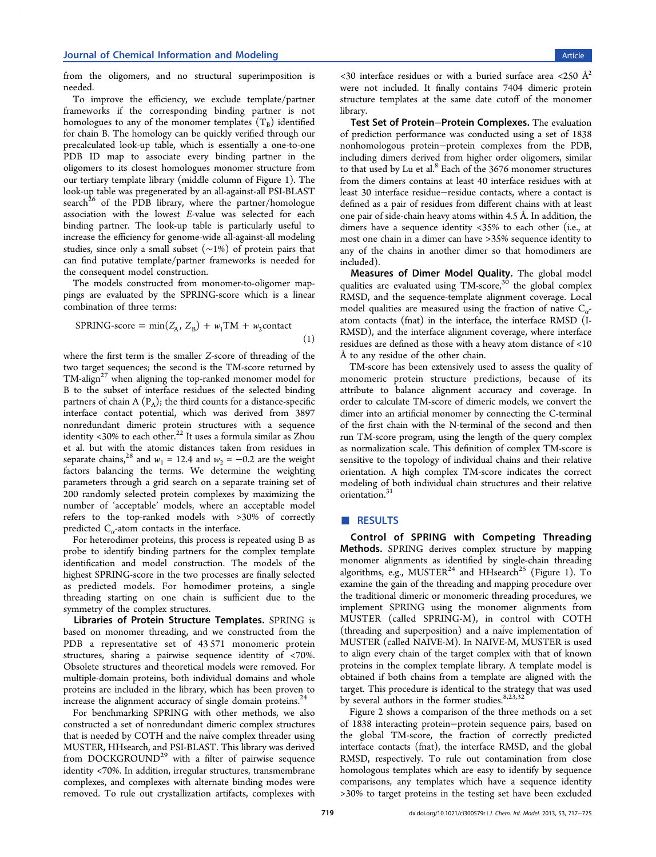<span id="page-2-0"></span>from the oligomers, and no structural superimposition is needed.

To improve the efficiency, we exclude template/partner frameworks if the corresponding binding partner is not homologues to any of the monomer templates  $(T_B)$  identified for chain B. The homology can be quickly verified through our precalculated look-up table, which is essentially a one-to-one PDB ID map to associate every binding partner in the oligomers to its closest homologues monomer structure from our tertiary template library (middle column of Figure 1). The look-up table was pregenerated by an all-against-all PSI-BLAST search $^{26}$  of the PDB library, where the partner/ho[mo](#page-1-0)logue association with the lowest E-value was selected for each bindi[ng](#page-8-0) partner. The look-up table is particularly useful to increase the efficiency for genome-wide all-against-all modeling studies, since only a small subset (∼1%) of protein pairs that can find putative template/partner frameworks is needed for the consequent model construction.

The models constructed from monomer-to-oligomer mappings are evaluated by the SPRING-score which is a linear combination of three terms:

$$
SPRING-score = \min(Z_A, Z_B) + w_1 TM + w_2contact
$$
\n(1)

where the first term is the smaller Z-score of threading of the two target sequences; the second is the TM-score returned by TM-align<sup>27</sup> when aligning the top-ranked monomer model for B to the subset of interface residues of the selected binding partners [of](#page-8-0) chain A  $(P_A)$ ; the third counts for a distance-specific interface contact potential, which was derived from 3897 nonredundant dimeric protein structures with a sequence identity <30% to each other.<sup>22</sup> It uses a formula similar as Zhou et al. but with the atomic distances taken from residues in separate chains,<sup>28</sup> and  $w_1 = 12.4$  $w_1 = 12.4$  $w_1 = 12.4$  and  $w_2 = -0.2$  are the weight factors balancing the terms. We determine the weighting parameters thr[oug](#page-8-0)h a grid search on a separate training set of 200 randomly selected protein complexes by maximizing the number of 'acceptable' models, where an acceptable model refers to the top-ranked models with >30% of correctly predicted  $C_{\alpha}$ -atom contacts in the interface.

For heterodimer proteins, this process is repeated using B as probe to identify binding partners for the complex template identification and model construction. The models of the highest SPRING-score in the two processes are finally selected as predicted models. For homodimer proteins, a single threading starting on one chain is sufficient due to the symmetry of the complex structures.

Libraries of Protein Structure Templates. SPRING is based on monomer threading, and we constructed from the PDB a representative set of 43 571 monomeric protein structures, sharing a pairwise sequence identity of <70%. Obsolete structures and theoretical models were removed. For multiple-domain proteins, both individual domains and whole proteins are included in the library, which has been proven to increase the alignment accuracy of single domain proteins. $24$ 

For benchmarking SPRING with other methods, we also constructed a set of nonredundant dimeric complex struct[ure](#page-8-0)s that is needed by COTH and the naive complex threader using MUSTER, HHsearch, and PSI-BLAST. This library was derived from DOCKGROUND<sup>29</sup> with a filter of pairwise sequence identity <70%. In addition, irregular structures, transmembrane complexes, and comple[xes](#page-8-0) with alternate binding modes were removed. To rule out crystallization artifacts, complexes with

 $\langle$  <30 interface residues or with a buried surface area  $\langle$ 250 Å<sup>2</sup> were not included. It finally contains 7404 dimeric protein structure templates at the same date cutoff of the monomer library.

Test Set of Protein−Protein Complexes. The evaluation of prediction performance was conducted using a set of 1838 nonhomologous protein−protein complexes from the PDB, including dimers derived from higher order oligomers, similar to that used by Lu et al. $8$  Each of the 3676 monomer structures from the dimers contains at least 40 interface residues with at least 30 interface resid[ue](#page-8-0)−residue contacts, where a contact is defined as a pair of residues from different chains with at least one pair of side-chain heavy atoms within 4.5 Å. In addition, the dimers have a sequence identity <35% to each other (i.e., at most one chain in a dimer can have >35% sequence identity to any of the chains in another dimer so that homodimers are included).

Measures of Dimer Model Quality. The global model qualities are evaluated using TM-score,<sup>30</sup> the global complex RMSD, and the sequence-template alignment coverage. Local model qualities are measured using the [fr](#page-8-0)action of native  $C_{\alpha}$ atom contacts (fnat) in the interface, the interface RMSD (I-RMSD), and the interface alignment coverage, where interface residues are defined as those with a heavy atom distance of <10 Å to any residue of the other chain.

TM-score has been extensively used to assess the quality of monomeric protein structure predictions, because of its attribute to balance alignment accuracy and coverage. In order to calculate TM-score of dimeric models, we convert the dimer into an artificial monomer by connecting the C-terminal of the first chain with the N-terminal of the second and then run TM-score program, using the length of the query complex as normalization scale. This definition of complex TM-score is sensitive to the topology of individual chains and their relative orientation. A high complex TM-score indicates the correct modeling of both individual chain structures and their relative orientation.<sup>31</sup>

# ■ RESU[LTS](#page-8-0)

Control of SPRING with Competing Threading Methods. SPRING derives complex structure by mapping monomer alignments as identified by single-chain threading algorithms, e.g., MUSTER<sup>24</sup> and HHsearch<sup>25</sup> (Figure 1). To examine the gain of the threading and mapping procedure over the traditional dimeric or [mo](#page-8-0)nomeric thread[ing](#page-8-0) proced[ure](#page-1-0)s, we implement SPRING using the monomer alignments from MUSTER (called SPRING-M), in control with COTH (threading and superposition) and a naive implementation of ̈ MUSTER (called NAIVE-M). In NAIVE-M, MUSTER is used to align every chain of the target complex with that of known proteins in the complex template library. A template model is obtained if both chains from a template are aligned with the target. This procedure is identical to the strategy that was used by several authors in the former studies. $8,23,32$ 

Figure 2 shows a comparison of the three methods on a set of 1838 interacting protein−protein se[quence](#page-8-0) pairs, based on the glob[al](#page-3-0) TM-score, the fraction of correctly predicted interface contacts (fnat), the interface RMSD, and the global RMSD, respectively. To rule out contamination from close homologous templates which are easy to identify by sequence comparisons, any templates which have a sequence identity >30% to target proteins in the testing set have been excluded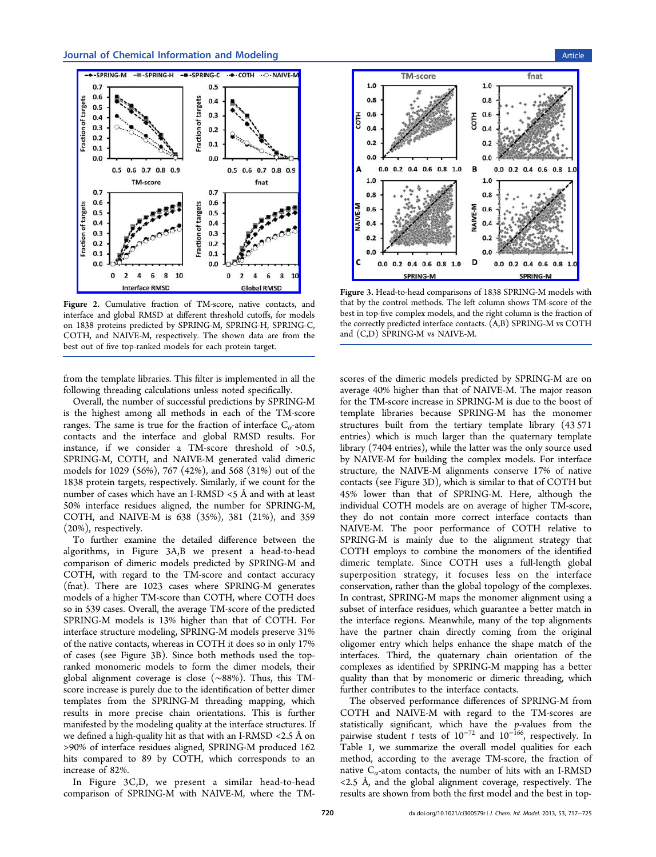<span id="page-3-0"></span>

Figure 2. [Cumulative fraction of TM-score, native contacts,](http://pubs.acs.org/action/showImage?doi=10.1021/ci300579r&iName=master.img-002.jpg&w=208&h=208) and interface and global RMSD at different threshold cutoffs, for models on 1838 proteins predicted by SPRING-M, SPRING-H, SPRING-C, COTH, and NAIVE-M, respectively. The shown data are from the best out of five top-ranked models for each protein target.

from the template libraries. This filter is implemented in all the following threading calculations unless noted specifically.

Overall, the number of successful predictions by SPRING-M is the highest among all methods in each of the TM-score ranges. The same is true for the fraction of interface  $C_{\alpha}$ -atom contacts and the interface and global RMSD results. For instance, if we consider a TM-score threshold of >0.5, SPRING-M, COTH, and NAIVE-M generated valid dimeric models for 1029 (56%), 767 (42%), and 568 (31%) out of the 1838 protein targets, respectively. Similarly, if we count for the number of cases which have an I-RMSD <5 Å and with at least 50% interface residues aligned, the number for SPRING-M, COTH, and NAIVE-M is 638 (35%), 381 (21%), and 359 (20%), respectively.

To further examine the detailed difference between the algorithms, in Figure 3A,B we present a head-to-head comparison of dimeric models predicted by SPRING-M and COTH, with regard to the TM-score and contact accuracy (fnat). There are 1023 cases where SPRING-M generates models of a higher TM-score than COTH, where COTH does so in 539 cases. Overall, the average TM-score of the predicted SPRING-M models is 13% higher than that of COTH. For interface structure modeling, SPRING-M models preserve 31% of the native contacts, whereas in COTH it does so in only 17% of cases (see Figure 3B). Since both methods used the topranked monomeric models to form the dimer models, their global alignment coverage is close (∼88%). Thus, this TMscore increase is purely due to the identification of better dimer templates from the SPRING-M threading mapping, which results in more precise chain orientations. This is further manifested by the modeling quality at the interface structures. If we defined a high-quality hit as that with an I-RMSD <2.5 Å on >90% of interface residues aligned, SPRING-M produced 162 hits compared to 89 by COTH, which corresponds to an increase of 82%.

In Figure 3C,D, we present a similar head-to-head comparison of SPRING-M with NAIVE-M, where the TM-



Figure 3. [Head-to-head comparisons of 1838 SPRING-M models](http://pubs.acs.org/action/showImage?doi=10.1021/ci300579r&iName=master.img-003.jpg&w=211&h=196) with that by the control methods. The left column shows TM-score of the best in top-five complex models, and the right column is the fraction of the correctly predicted interface contacts. (A,B) SPRING-M vs COTH and (C,D) SPRING-M vs NAIVE-M.

scores of the dimeric models predicted by SPRING-M are on average 40% higher than that of NAIVE-M. The major reason for the TM-score increase in SPRING-M is due to the boost of template libraries because SPRING-M has the monomer structures built from the tertiary template library (43 571 entries) which is much larger than the quaternary template library (7404 entries), while the latter was the only source used by NAIVE-M for building the complex models. For interface structure, the NAIVE-M alignments conserve 17% of native contacts (see Figure 3D), which is similar to that of COTH but 45% lower than that of SPRING-M. Here, although the individual COTH models are on average of higher TM-score, they do not contain more correct interface contacts than NAIVE-M. The poor performance of COTH relative to SPRING-M is mainly due to the alignment strategy that COTH employs to combine the monomers of the identified dimeric template. Since COTH uses a full-length global superposition strategy, it focuses less on the interface conservation, rather than the global topology of the complexes. In contrast, SPRING-M maps the monomer alignment using a subset of interface residues, which guarantee a better match in the interface regions. Meanwhile, many of the top alignments have the partner chain directly coming from the original oligomer entry which helps enhance the shape match of the interfaces. Third, the quaternary chain orientation of the complexes as identified by SPRING-M mapping has a better quality than that by monomeric or dimeric threading, which further contributes to the interface contacts.

The observed performance differences of SPRING-M from COTH and NAIVE-M with regard to the TM-scores are statistically significant, which have the  $p$ -values from the pairwise student t tests of  $10^{-72}$  and  $10^{-166}$ , respectively. In Table 1, we summarize the overall model qualities for each method, according to the average TM-score, the fraction of native  $C_{\alpha}$ -atom contacts, the number of hits with an I-RMSD  $\langle 2.5 \text{ Å}, \text{ and the global alignment coverage, respectively.}$ results are shown from both the first model and the best in top-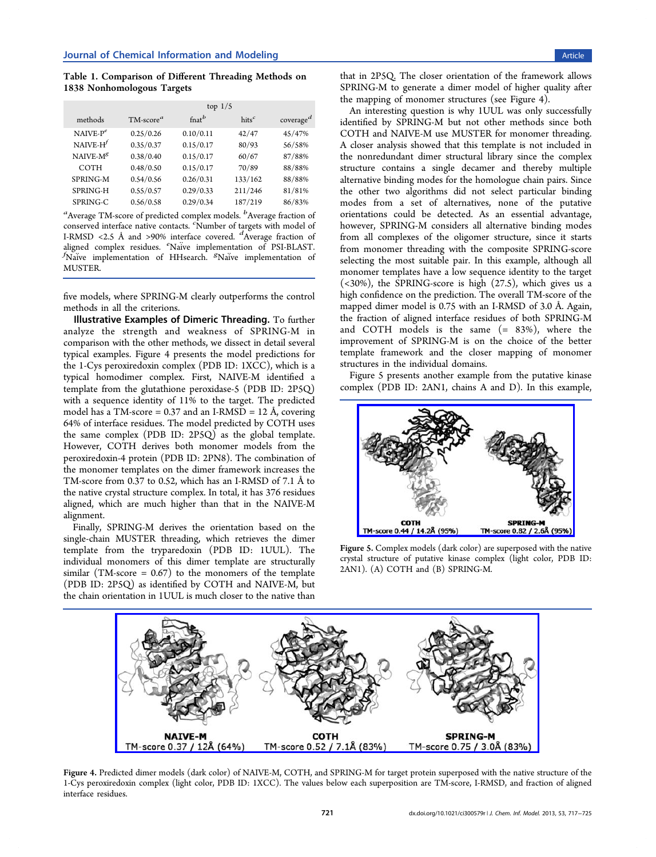<span id="page-4-0"></span>Table 1. Comparison of Different Threading Methods on 1838 Nonhomologous Targets

|              | top $1/5$   |                    |                   |                       |
|--------------|-------------|--------------------|-------------------|-----------------------|
| methods      | $TM-scorea$ | $f_{\text{nat}}^b$ | hits <sup>c</sup> | coverage <sup>d</sup> |
| $NAIVE-Pe$   | 0.25/0.26   | 0.10/0.11          | 42/47             | 45/47%                |
| NAIVE- $H^f$ | 0.35/0.37   | 0.15/0.17          | 80/93             | 56/58%                |
| NAIVE- $M^g$ | 0.38/0.40   | 0.15/0.17          | 60/67             | 87/88%                |
| COTH         | 0.48/0.50   | 0.15/0.17          | 70/89             | 88/88%                |
| SPRING-M     | 0.54/0.56   | 0.26/0.31          | 133/162           | 88/88%                |
| SPRING-H     | 0.55/0.57   | 0.29/0.33          | 211/246           | 81/81%                |
| SPRING-C     | 0.56/0.58   | 0.29/0.34          | 187/219           | 86/83%                |

 $\textsuperscript{a}$ Average TM-score of predicted complex models.  $\textsuperscript{b}$ Average fraction of conserved interface native contacts. <sup>c</sup> Number of targets with model of I-RMSD  $\langle 2.5 \text{ Å} \rangle$  and  $>90\%$  interface covered.  $d$ Average fraction of aligned complex residues. Waive implementation of PSI-BLAST.<br>Aligned complex residues. Naive implementation of PSI-BLAST. Naive implementation of HHsearch. <sup>*gNaive* implementation of</sup> MUSTER.

five models, where SPRING-M clearly outperforms the control methods in all the criterions.

Illustrative Examples of Dimeric Threading. To further analyze the strength and weakness of SPRING-M in comparison with the other methods, we dissect in detail several typical examples. Figure 4 presents the model predictions for the 1-Cys peroxiredoxin complex (PDB ID: 1XCC), which is a typical homodimer complex. First, NAIVE-M identified a template from the glutathione peroxidase-5 (PDB ID: 2P5Q) with a sequence identity of 11% to the target. The predicted model has a TM-score =  $0.37$  and an I-RMSD = 12 Å, covering 64% of interface residues. The model predicted by COTH uses the same complex (PDB ID: 2P5Q) as the global template. However, COTH derives both monomer models from the peroxiredoxin-4 protein (PDB ID: 2PN8). The combination of the monomer templates on the dimer framework increases the TM-score from 0.37 to 0.52, which has an I-RMSD of 7.1 Å to the native crystal structure complex. In total, it has 376 residues aligned, which are much higher than that in the NAIVE-M alignment.

Finally, SPRING-M derives the orientation based on the single-chain MUSTER threading, which retrieves the dimer template from the tryparedoxin (PDB ID: 1UUL). The individual monomers of this dimer template are structurally similar (TM-score =  $0.67$ ) to the monomers of the template (PDB ID: 2P5Q) as identified by COTH and NAIVE-M, but the chain orientation in 1UUL is much closer to the native than

that in 2P5Q. The closer orientation of the framework allows SPRING-M to generate a dimer model of higher quality after the mapping of monomer structures (see Figure 4).

An interesting question is why 1UUL was only successfully identified by SPRING-M but not other methods since both COTH and NAIVE-M use MUSTER for monomer threading. A closer analysis showed that this template is not included in the nonredundant dimer structural library since the complex structure contains a single decamer and thereby multiple alternative binding modes for the homologue chain pairs. Since the other two algorithms did not select particular binding modes from a set of alternatives, none of the putative orientations could be detected. As an essential advantage, however, SPRING-M considers all alternative binding modes from all complexes of the oligomer structure, since it starts from monomer threading with the composite SPRING-score selecting the most suitable pair. In this example, although all monomer templates have a low sequence identity to the target (<30%), the SPRING-score is high (27.5), which gives us a high confidence on the prediction. The overall TM-score of the mapped dimer model is 0.75 with an I-RMSD of 3.0 Å. Again, the fraction of aligned interface residues of both SPRING-M and COTH models is the same  $(= 83\%)$ , where the improvement of SPRING-M is on the choice of the better template framework and the closer mapping of monomer structures in the individual domains.

Figure 5 presents another example from the putative kinase complex (PDB ID: 2AN1, chains A and D). In this example,



Figure 5. [Complex models \(dark color\) are superposed with the n](http://pubs.acs.org/action/showImage?doi=10.1021/ci300579r&iName=master.img-005.jpg&w=202&h=121)ative crystal structure of putative kinase complex (light color, PDB ID: 2AN1). (A) COTH and (B) SPRING-M.



Figure 4. Pred[icted dimer models \(dark color\) of NAIVE-M, COTH, and SPRING-M for target protein superposed with the native](http://pubs.acs.org/action/showImage?doi=10.1021/ci300579r&iName=master.img-004.jpg&w=399&h=128) structure of the 1-Cys peroxiredoxin complex (light color, PDB ID: 1XCC). The values below each superposition are TM-score, I-RMSD, and fraction of aligned interface residues.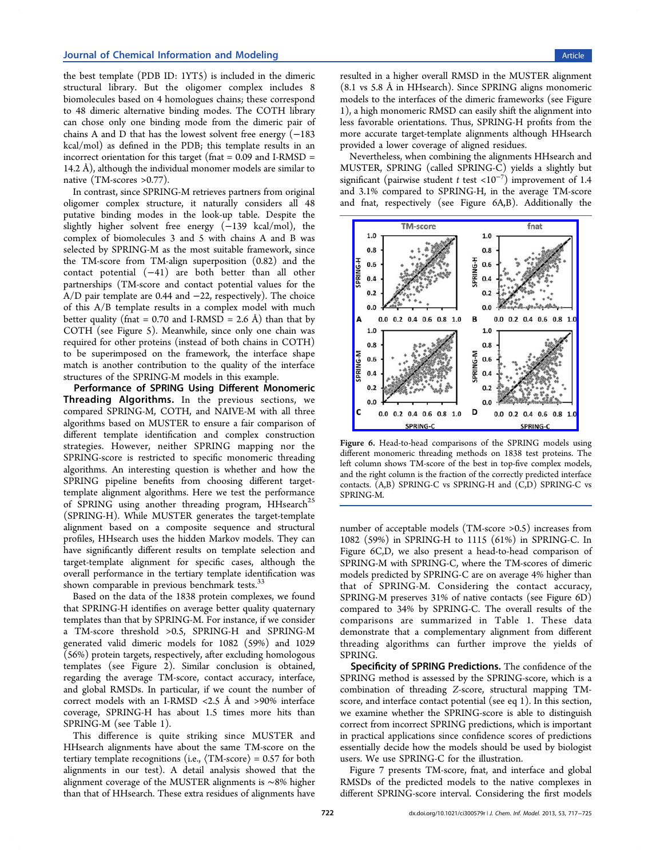the best template (PDB ID: 1YT5) is included in the dimeric structural library. But the oligomer complex includes 8 biomolecules based on 4 homologues chains; these correspond to 48 dimeric alternative binding modes. The COTH library can chose only one binding mode from the dimeric pair of chains A and D that has the lowest solvent free energy  $(-183)$ kcal/mol) as defined in the PDB; this template results in an incorrect orientation for this target (fnat  $= 0.09$  and I-RMSD  $=$ 14.2 Å), although the individual monomer models are similar to native (TM-scores >0.77).

In contrast, since SPRING-M retrieves partners from original oligomer complex structure, it naturally considers all 48 putative binding modes in the look-up table. Despite the slightly higher solvent free energy (−139 kcal/mol), the complex of biomolecules 3 and 5 with chains A and B was selected by SPRING-M as the most suitable framework, since the TM-score from TM-align superposition (0.82) and the contact potential (−41) are both better than all other partnerships (TM-score and contact potential values for the A/D pair template are 0.44 and −22, respectively). The choice of this A/B template results in a complex model with much better quality (fnat =  $0.70$  and I-RMSD = 2.6 Å) than that by COTH (see Figure 5). Meanwhile, since only one chain was required for other proteins (instead of both chains in COTH) to be superimposed on the framework, the interface shape match is another contribution to the quality of the interface structures of the SPRING-M models in this example.

Performance of SPRING Using Different Monomeric Threading Algorithms. In the previous sections, we compared SPRING-M, COTH, and NAIVE-M with all three algorithms based on MUSTER to ensure a fair comparison of different template identification and complex construction strategies. However, neither SPRING mapping nor the SPRING-score is restricted to specific monomeric threading algorithms. An interesting question is whether and how the SPRING pipeline benefits from choosing different targettemplate alignment algorithms. Here we test the performance of SPRING using another threading program, HHsearch<sup>25</sup> (SPRING-H). While MUSTER generates the target-template alignment based on a composite sequence and structu[ral](#page-8-0) profiles, HHsearch uses the hidden Markov models. They can have significantly different results on template selection and target-template alignment for specific cases, although the overall performance in the tertiary template identification was shown comparable in previous benchmark tests.<sup>33</sup>

Based on the data of the 1838 protein complexes, we found that SPRING-H identifies on average better qu[alit](#page-8-0)y quaternary templates than that by SPRING-M. For instance, if we consider a TM-score threshold >0.5, SPRING-H and SPRING-M generated valid dimeric models for 1082 (59%) and 1029 (56%) protein targets, respectively, after excluding homologous templates (see Figure 2). Similar conclusion is obtained, regarding the average TM-score, contact accuracy, interface, and global RMSDs. In [pa](#page-3-0)rticular, if we count the number of correct models with an I-RMSD <2.5 Å and >90% interface coverage, SPRING-H has about 1.5 times more hits than SPRING-M (see Table 1).

This difference is quite striking since MUSTER and HHsearch alignments h[av](#page-4-0)e about the same TM-score on the tertiary template recognitions (i.e.,  $\langle TM\text{-}score \rangle = 0.57$  for both alignments in our test). A detail analysis showed that the alignment coverage of the MUSTER alignments is ∼8% higher than that of HHsearch. These extra residues of alignments have resulted in a higher overall RMSD in the MUSTER alignment (8.1 vs 5.8 Å in HHsearch). Since SPRING aligns monomeric models to the interfaces of the dimeric frameworks (see Figure 1), a high monomeric RMSD can easily shift the alignment into less favorable orientations. Thus, SPRING-H profits from the [m](#page-1-0)ore accurate target-template alignments although HHsearch provided a lower coverage of aligned residues.

Nevertheless, when combining the alignments HHsearch and MUSTER, SPRING (called SPRING-C) yields a slightly but significant (pairwise student t test <10<sup>-7</sup>) improvement of 1.4 and 3.1% compared to SPRING-H, in the average TM-score and fnat, respectively (see Figure 6A,B). Additionally the



Figure 6. [Head-to-head comparisons of the SPRING models u](http://pubs.acs.org/action/showImage?doi=10.1021/ci300579r&iName=master.img-006.jpg&w=209&h=196)sing different monomeric threading methods on 1838 test proteins. The left column shows TM-score of the best in top-five complex models, and the right column is the fraction of the correctly predicted interface contacts. (A,B) SPRING-C vs SPRING-H and (C,D) SPRING-C vs SPRING-M.

number of acceptable models (TM-score >0.5) increases from 1082 (59%) in SPRING-H to 1115 (61%) in SPRING-C. In Figure 6C,D, we also present a head-to-head comparison of SPRING-M with SPRING-C, where the TM-scores of dimeric models predicted by SPRING-C are on average 4% higher than that of SPRING-M. Considering the contact accuracy, SPRING-M preserves 31% of native contacts (see Figure 6D) compared to 34% by SPRING-C. The overall results of the comparisons are summarized in Table 1. These data demonstrate that a complementary alignment from different threading algorithms can further improve the yields of SPRING.

Specificity of SPRING Predictions. The confidence of the SPRING method is assessed by the SPRING-score, which is a combination of threading Z-score, structural mapping TMscore, and interface contact potential (see eq 1). In this section, we examine whether the SPRING-score is able to distinguish correct from incorrect SPRING predictions, [wh](#page-2-0)ich is important in practical applications since confidence scores of predictions essentially decide how the models should be used by biologist users. We use SPRING-C for the illustration.

Figure 7 presents TM-score, fnat, and interface and global RMSDs of the predicted models to the native complexes in different [SP](#page-6-0)RING-score interval. Considering the first models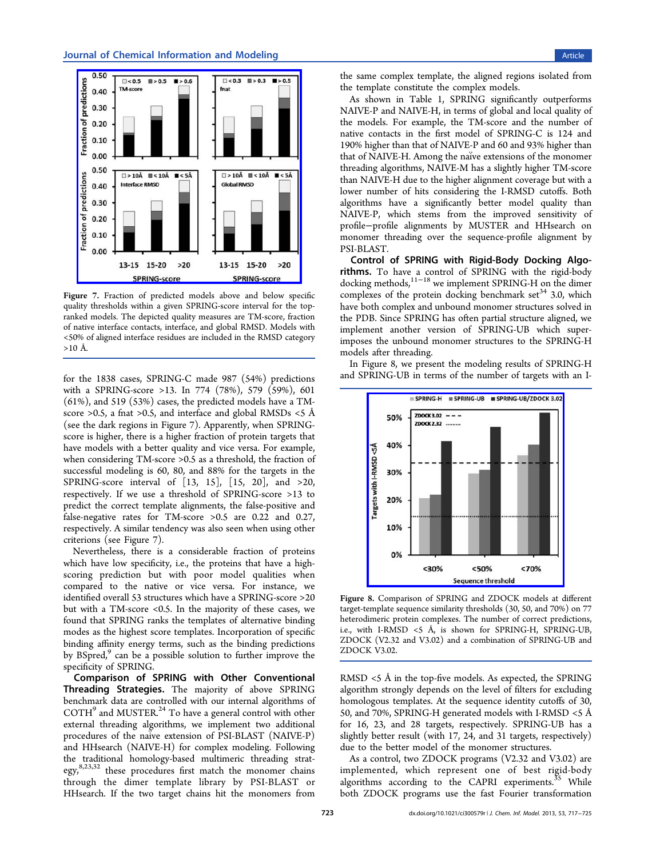<span id="page-6-0"></span>

Figure 7. [Fraction of predicted models above and below spe](http://pubs.acs.org/action/showImage?doi=10.1021/ci300579r&iName=master.img-007.jpg&w=209&h=199)cific quality thresholds within a given SPRING-score interval for the topranked models. The depicted quality measures are TM-score, fraction of native interface contacts, interface, and global RMSD. Models with <50% of aligned interface residues are included in the RMSD category  $>10 \text{ Å}.$ 

for the 1838 cases, SPRING-C made 987 (54%) predictions with a SPRING-score >13. In 774 (78%), 579 (59%), 601 (61%), and 519 (53%) cases, the predicted models have a TMscore >0.5, a fnat >0.5, and interface and global RMSDs <5 Å (see the dark regions in Figure 7). Apparently, when SPRINGscore is higher, there is a higher fraction of protein targets that have models with a better quality and vice versa. For example, when considering TM-score >0.5 as a threshold, the fraction of successful modeling is 60, 80, and 88% for the targets in the SPRING-score interval of [13, 15], [15, 20], and >20, respectively. If we use a threshold of SPRING-score >13 to predict the correct template alignments, the false-positive and false-negative rates for TM-score >0.5 are 0.22 and 0.27, respectively. A similar tendency was also seen when using other criterions (see Figure 7).

Nevertheless, there is a considerable fraction of proteins which have low specificity, i.e., the proteins that have a highscoring prediction but with poor model qualities when compared to the native or vice versa. For instance, we identified overall 53 structures which have a SPRING-score >20 but with a TM-score <0.5. In the majority of these cases, we found that SPRING ranks the templates of alternative binding modes as the highest score templates. Incorporation of specific binding affinity energy terms, such as the binding predictions by BSpred,<sup>9</sup> can be a possible solution to further improve the specificity of SPRING.

Compa[ri](#page-8-0)son of SPRING with Other Conventional Threading Strategies. The majority of above SPRING benchmark data are controlled with our internal algorithms of COTH9 and MUSTER.<sup>24</sup> To have a general control with other external threading algorithms, we implement two additional proced[ur](#page-8-0)es of the naiv[e e](#page-8-0)xtension of PSI-BLAST (NAIVE-P) and HHsearch (NAIVE-H) for complex modeling. Following the traditional homology-based multimeric threading strategy,8,23,32 these procedures first match the monomer chains through the dimer template library by PSI-BLAST or H[Hsearch](#page-8-0). If the two target chains hit the monomers from

the same complex template, the aligned regions isolated from the template constitute the complex models.

As shown in Table 1, SPRING significantly outperforms NAIVE-P and NAIVE-H, in terms of global and local quality of the models. For examp[le](#page-4-0), the TM-score and the number of native contacts in the first model of SPRING-C is 124 and 190% higher than that of NAIVE-P and 60 and 93% higher than that of NAIVE-H. Among the naive extensions of the monomer threading algorithms, NAIVE-M has a slightly higher TM-score than NAIVE-H due to the higher alignment coverage but with a lower number of hits considering the I-RMSD cutoffs. Both algorithms have a significantly better model quality than NAIVE-P, which stems from the improved sensitivity of profile−profile alignments by MUSTER and HHsearch on monomer threading over the sequence-profile alignment by PSI-BLAST.

Control of SPRING with Rigid-Body Docking Algorithms. To have a control of SPRING with the rigid-body docking methods,11−<sup>18</sup> we implement SPRING-H on the dimer complexes of the protein docking benchmark set<sup>34</sup> 3.0, which have both comple[x and](#page-8-0) unbound monomer structures solved in the PDB. Since SPRING has often partial structu[re](#page-8-0) aligned, we implement another version of SPRING-UB which superimposes the unbound monomer structures to the SPRING-H models after threading.

In Figure 8, we present the modeling results of SPRING-H and SPRING-UB in terms of the number of targets with an I-



Figure 8. [Comparison of SPRING and ZDOCK models at](http://pubs.acs.org/action/showImage?doi=10.1021/ci300579r&iName=master.img-008.jpg&w=182&h=180) different target-template sequence similarity thresholds (30, 50, and 70%) on 77 heterodimeric protein complexes. The number of correct predictions, i.e., with I-RMSD <5 Å, is shown for SPRING-H, SPRING-UB, ZDOCK (V2.32 and V3.02) and a combination of SPRING-UB and ZDOCK V3.02.

RMSD <5 Å in the top-five models. As expected, the SPRING algorithm strongly depends on the level of filters for excluding homologous templates. At the sequence identity cutoffs of 30, 50, and 70%, SPRING-H generated models with I-RMSD <5 Å for 16, 23, and 28 targets, respectively. SPRING-UB has a slightly better result (with 17, 24, and 31 targets, respectively) due to the better model of the monomer structures.

As a control, two ZDOCK programs (V2.32 and V3.02) are implemented, which represent one of best rigid-body algorithms according to the CAPRI experiments.<sup>35</sup> While both ZDOCK programs use the fast Fourier transformation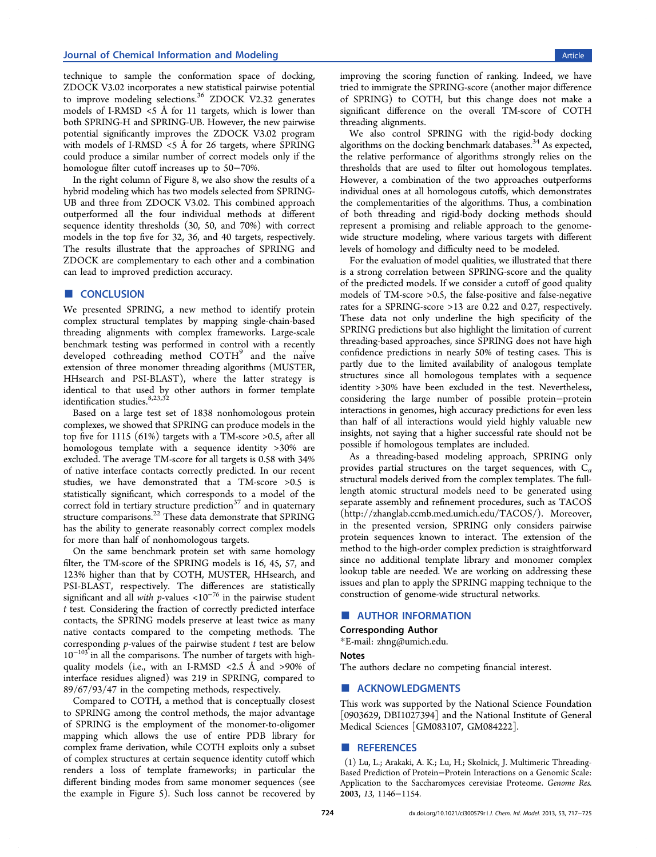<span id="page-7-0"></span>technique to sample the conformation space of docking, ZDOCK V3.02 incorporates a new statistical pairwise potential to improve modeling selections.<sup>36</sup> ZDOCK V2.32 generates models of I-RMSD <5 Å for 11 targets, which is lower than both SPRING-H and SPRING-U[B.](#page-8-0) However, the new pairwise potential significantly improves the ZDOCK V3.02 program with models of I-RMSD <5 Å for 26 targets, where SPRING could produce a similar number of correct models only if the homologue filter cutoff increases up to 50−70%.

In the right column of Figure 8, we also show the results of a hybrid modeling which has two models selected from SPRING-UB and three from ZDOCK V[3.](#page-6-0)02. This combined approach outperformed all the four individual methods at different sequence identity thresholds (30, 50, and 70%) with correct models in the top five for 32, 36, and 40 targets, respectively. The results illustrate that the approaches of SPRING and ZDOCK are complementary to each other and a combination can lead to improved prediction accuracy.

#### ■ CONCLUSION

We presented SPRING, a new method to identify protein complex structural templates by mapping single-chain-based threading alignments with complex frameworks. Large-scale benchmark testing was performed in control with a recently developed cothreading method COTH<sup>9</sup> and the naive extension of three monomer threading algorithms (MUSTER, HHsearch and PSI-BLAST), where the latter strategy is identical to that used by other authors in former template identification studies.<sup>8,23,3</sup>

Based on a large test set of 1838 nonhomologous protein complexes, we showe[d that](#page-8-0) SPRING can produce models in the top five for 1115 (61%) targets with a TM-score >0.5, after all homologous template with a sequence identity >30% are excluded. The average TM-score for all targets is 0.58 with 34% of native interface contacts correctly predicted. In our recent studies, we have demonstrated that a TM-score >0.5 is statistically significant, which corresponds to a model of the correct fold in tertiary structure prediction $37$  and in quaternary structure comparisons.<sup>22</sup> These data demonstrate that SPRING has the ability to generate reasonably cor[rec](#page-8-0)t complex models for more than half of [no](#page-8-0)nhomologous targets.

On the same benchmark protein set with same homology filter, the TM-score of the SPRING models is 16, 45, 57, and 123% higher than that by COTH, MUSTER, HHsearch, and PSI-BLAST, respectively. The differences are statistically significant and all with p-values <10<sup>-76</sup> in the pairwise student t test. Considering the fraction of correctly predicted interface contacts, the SPRING models preserve at least twice as many native contacts compared to the competing methods. The corresponding  $p$ -values of the pairwise student  $t$  test are below 10<sup>−</sup><sup>103</sup> in all the comparisons. The number of targets with highquality models (i.e., with an I-RMSD <2.5 Å and >90% of interface residues aligned) was 219 in SPRING, compared to 89/67/93/47 in the competing methods, respectively.

Compared to COTH, a method that is conceptually closest to SPRING among the control methods, the major advantage of SPRING is the employment of the monomer-to-oligomer mapping which allows the use of entire PDB library for complex frame derivation, while COTH exploits only a subset of complex structures at certain sequence identity cutoff which renders a loss of template frameworks; in particular the different binding modes from same monomer sequences (see the example in Figure 5). Such loss cannot be recovered by

improving the scoring function of ranking. Indeed, we have tried to immigrate the SPRING-score (another major difference of SPRING) to COTH, but this change does not make a significant difference on the overall TM-score of COTH threading alignments.

We also control SPRING with the rigid-body docking algorithms on the docking benchmark databases. $34$  As expected, the relative performance of algorithms strongly relies on the thresholds that are used to filter out homolo[gou](#page-8-0)s templates. However, a combination of the two approaches outperforms individual ones at all homologous cutoffs, which demonstrates the complementarities of the algorithms. Thus, a combination of both threading and rigid-body docking methods should represent a promising and reliable approach to the genomewide structure modeling, where various targets with different levels of homology and difficulty need to be modeled.

For the evaluation of model qualities, we illustrated that there is a strong correlation between SPRING-score and the quality of the predicted models. If we consider a cutoff of good quality models of TM-score >0.5, the false-positive and false-negative rates for a SPRING-score >13 are 0.22 and 0.27, respectively. These data not only underline the high specificity of the SPRING predictions but also highlight the limitation of current threading-based approaches, since SPRING does not have high confidence predictions in nearly 50% of testing cases. This is partly due to the limited availability of analogous template structures since all homologous templates with a sequence identity >30% have been excluded in the test. Nevertheless, considering the large number of possible protein−protein interactions in genomes, high accuracy predictions for even less than half of all interactions would yield highly valuable new insights, not saying that a higher successful rate should not be possible if homologous templates are included.

As a threading-based modeling approach, SPRING only provides partial structures on the target sequences, with  $C_{\alpha}$ structural models derived from the complex templates. The fulllength atomic structural models need to be generated using separate assembly and refinement procedures, such as TACOS (http://zhanglab.ccmb.med.umich.edu/TACOS/). Moreover, in the presented version, SPRING only considers pairwise [protein sequences known to interact. The exte](http://zhanglab.ccmb.med.umich.edu/TACOS/)nsion of the method to the high-order complex prediction is straightforward since no additional template library and monomer complex lookup table are needed. We are working on addressing these issues and plan to apply the SPRING mapping technique to the construction of genome-wide structural networks.

### ■ AUTHOR INFORMATION

#### Corresponding Author

\*E-mail: zhng@umich.edu.

#### Notes

The auth[ors declare no co](mailto:zhng@umich.edu)mpeting financial interest.

# ■ ACKNOWLEDGMENTS

This work was supported by the National Science Foundation [0903629, DBI1027394] and the National Institute of General Medical Sciences [GM083107, GM084222].

#### ■ REFERENCES

(1) Lu, L.; Arakaki, A. K.; Lu, H.; Skolnick, J. Multimeric Threading-Based Prediction of Protein−Protein Interactions on a Genomic Scale: Application to the Saccharomyces cerevisiae Proteome. Genome Res. 2003, 13, 1146−1154.